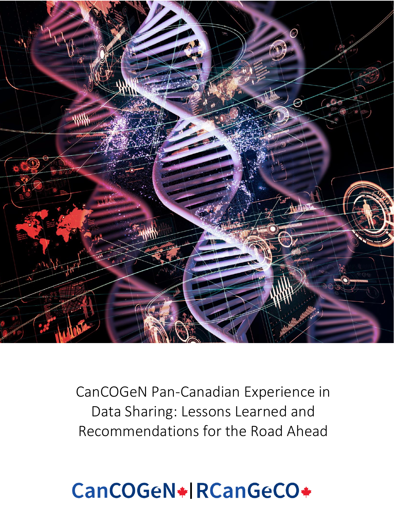

CanCOGeN Pan-Canadian Experience in Data Sharing: Lessons Learned and Recommendations for the Road Ahead

# CanCOGeN\*|RCanGeCO\*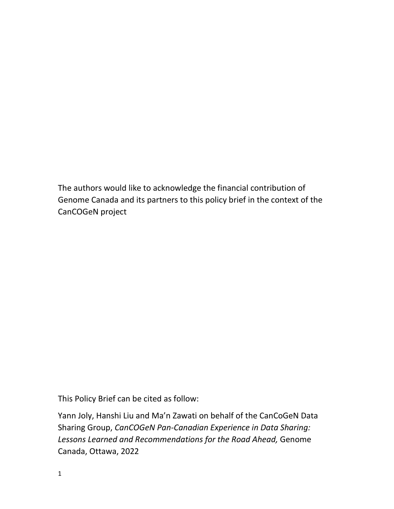The authors would like to acknowledge the financial contribution of Genome Canada and its partners to this policy brief in the context of the CanCOGeN project

This Policy Brief can be cited as follow:

Yann Joly, Hanshi Liu and Ma'n Zawati on behalf of the CanCoGeN Data Sharing Group, *CanCOGeN Pan-Canadian Experience in Data Sharing: Lessons Learned and Recommendations for the Road Ahead,* Genome Canada, Ottawa, 2022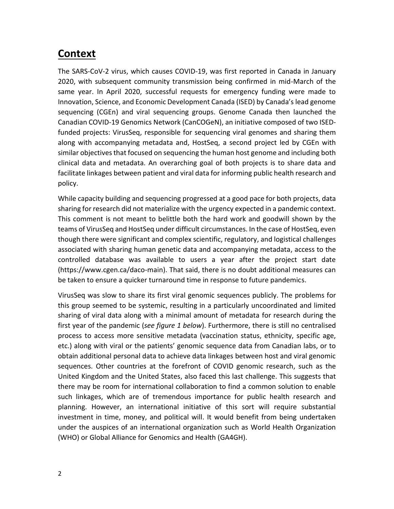### **Context**

The SARS-CoV-2 virus, which causes COVID-19, was first reported in Canada in January 2020, with subsequent community transmission being confirmed in mid-March of the same year. In April 2020, successful requests for emergency funding were made to Innovation, Science, and Economic Development Canada (ISED) by Canada's lead genome sequencing (CGEn) and viral sequencing groups. Genome Canada then launched the Canadian COVID-19 Genomics Network (CanCOGeN), an initiative composed of two ISEDfunded projects: VirusSeq, responsible for sequencing viral genomes and sharing them along with accompanying metadata and, HostSeq, a second project led by CGEn with similar objectives that focused on sequencing the human host genome and including both clinical data and metadata. An overarching goal of both projects is to share data and facilitate linkages between patient and viral data for informing public health research and policy.

While capacity building and sequencing progressed at a good pace for both projects, data sharing for research did not materialize with the urgency expected in a pandemic context. This comment is not meant to belittle both the hard work and goodwill shown by the teams of VirusSeq and HostSeq under difficult circumstances. In the case of HostSeq, even though there were significant and complex scientific, regulatory, and logistical challenges associated with sharing human genetic data and accompanying metadata, access to the controlled database was available to users a year after the project start date (https://www.cgen.ca/daco-main). That said, there is no doubt additional measures can be taken to ensure a quicker turnaround time in response to future pandemics.

VirusSeq was slow to share its first viral genomic sequences publicly. The problems for this group seemed to be systemic, resulting in a particularly uncoordinated and limited sharing of viral data along with a minimal amount of metadata for research during the first year of the pandemic (*see figure 1 below*). Furthermore, there is still no centralised process to access more sensitive metadata (vaccination status, ethnicity, specific age, etc.) along with viral or the patients' genomic sequence data from Canadian labs, or to obtain additional personal data to achieve data linkages between host and viral genomic sequences. Other countries at the forefront of COVID genomic research, such as the United Kingdom and the United States, also faced this last challenge. This suggests that there may be room for international collaboration to find a common solution to enable such linkages, which are of tremendous importance for public health research and planning. However, an international initiative of this sort will require substantial investment in time, money, and political will. It would benefit from being undertaken under the auspices of an international organization such as World Health Organization (WHO) or Global Alliance for Genomics and Health (GA4GH).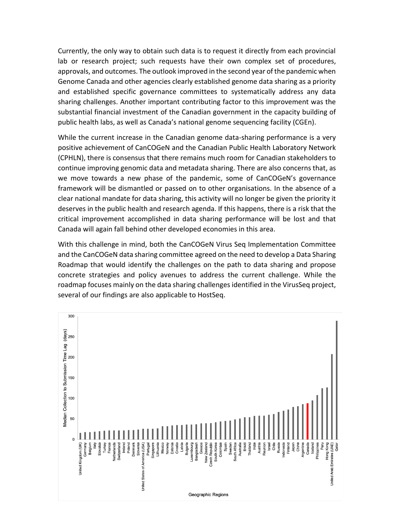Currently, the only way to obtain such data is to request it directly from each provincial lab or research project; such requests have their own complex set of procedures, approvals, and outcomes. The outlook improved in the second year of the pandemic when Genome Canada and other agencies clearly established genome data sharing as a priority and established specific governance committees to systematically address any data sharing challenges. Another important contributing factor to this improvement was the substantial financial investment of the Canadian government in the capacity building of public health labs, as well as Canada's national genome sequencing facility (CGEn).

While the current increase in the Canadian genome data-sharing performance is a very positive achievement of CanCOGeN and the Canadian Public Health Laboratory Network (CPHLN), there is consensus that there remains much room for Canadian stakeholders to continue improving genomic data and metadata sharing. There are also concerns that, as we move towards a new phase of the pandemic, some of CanCOGeN's governance framework will be dismantled or passed on to other organisations. In the absence of a clear national mandate for data sharing, this activity will no longer be given the priority it deserves in the public health and research agenda. If this happens, there is a risk that the critical improvement accomplished in data sharing performance will be lost and that Canada will again fall behind other developed economies in this area.

With this challenge in mind, both the CanCOGeN Virus Seq Implementation Committee and the CanCOGeN data sharing committee agreed on the need to develop a Data Sharing Roadmap that would identify the challenges on the path to data sharing and propose concrete strategies and policy avenues to address the current challenge. While the roadmap focuses mainly on the data sharing challenges identified in the VirusSeq project, several of our findings are also applicable to HostSeq.

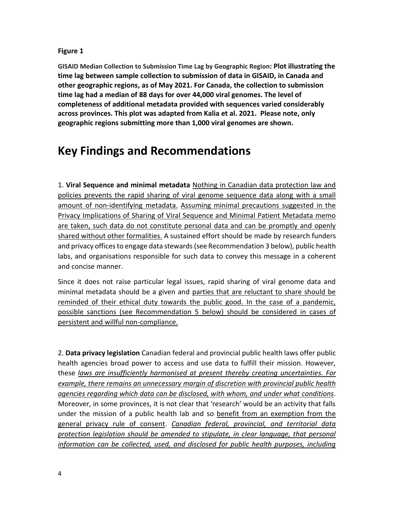### **Figure 1**

**GISAID Median Collection to Submission Time Lag by Geographic Region: Plot illustrating the time lag between sample collection to submission of data in GISAID, in Canada and other geographic regions, as of May 2021. For Canada, the collection to submission time lag had a median of 88 days for over 44,000 viral genomes. The level of completeness of additional metadata provided with sequences varied considerably across provinces. This plot was adapted from Kalia et al. 2021. Please note, only geographic regions submitting more than 1,000 viral genomes are shown.** 

### **Key Findings and Recommendations**

1. **Viral Sequence and minimal metadata** Nothing in Canadian data protection law and policies prevents the rapid sharing of viral genome sequence data along with a small amount of non-identifying metadata. Assuming minimal precautions suggested in the Privacy Implications of Sharing of Viral Sequence and Minimal Patient Metadata memo are taken, such data do not constitute personal data and can be promptly and openly shared without other formalities. A sustained effort should be made by research funders and privacy offices to engage data stewards (see Recommendation 3 below), public health labs, and organisations responsible for such data to convey this message in a coherent and concise manner.

Since it does not raise particular legal issues, rapid sharing of viral genome data and minimal metadata should be a given and parties that are reluctant to share should be reminded of their ethical duty towards the public good. In the case of a pandemic, possible sanctions (see Recommendation 5 below) should be considered in cases of persistent and willful non-compliance.

2. **Data privacy legislation** Canadian federal and provincial public health laws offer public health agencies broad power to access and use data to fulfill their mission. However, these *laws are insufficiently harmonised at present thereby creating uncertainties. For example, there remains an unnecessary margin of discretion with provincial public health agencies regarding which data can be disclosed, with whom, and under what conditions*. Moreover, in some provinces, it is not clear that 'research' would be an activity that falls under the mission of a public health lab and so benefit from an exemption from the general privacy rule of consent. *Canadian federal, provincial, and territorial data protection legislation should be amended to stipulate, in clear language, that personal information can be collected, used, and disclosed for public health purposes, including*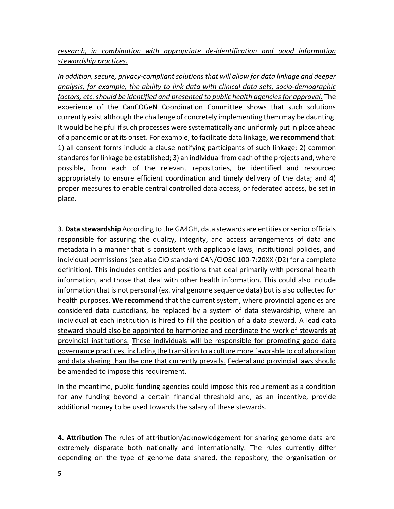*research, in combination with appropriate de-identification and good information stewardship practices.*

*In addition, secure, privacy-compliant solutions that will allow for data linkage and deeper analysis, for example, the ability to link data with clinical data sets, socio-demographic factors, etc. should be identified and presented to public health agencies for approval*. The experience of the CanCOGeN Coordination Committee shows that such solutions currently exist although the challenge of concretely implementing them may be daunting. It would be helpful if such processes were systematically and uniformly put in place ahead of a pandemic or at its onset. For example, to facilitate data linkage, **we recommend** that: 1) all consent forms include a clause notifying participants of such linkage; 2) common standards for linkage be established; 3) an individual from each of the projects and, where possible, from each of the relevant repositories, be identified and resourced appropriately to ensure efficient coordination and timely delivery of the data; and 4) proper measures to enable central controlled data access, or federated access, be set in place.

3. **Data stewardship** According to the GA4GH, data stewards are entities or senior officials responsible for assuring the quality, integrity, and access arrangements of data and metadata in a manner that is consistent with applicable laws, institutional policies, and individual permissions (see also CIO standard CAN/CIOSC 100-7:20XX (D2) for a complete definition). This includes entities and positions that deal primarily with personal health information, and those that deal with other health information. This could also include information that is not personal (ex. viral genome sequence data) but is also collected for health purposes. **We recommend** that the current system, where provincial agencies are considered data custodians, be replaced by a system of data stewardship, where an individual at each institution is hired to fill the position of a data steward. A lead data steward should also be appointed to harmonize and coordinate the work of stewards at provincial institutions. These individuals will be responsible for promoting good data governance practices, including the transition to a culture more favorable to collaboration and data sharing than the one that currently prevails. Federal and provincial laws should be amended to impose this requirement.

In the meantime, public funding agencies could impose this requirement as a condition for any funding beyond a certain financial threshold and, as an incentive, provide additional money to be used towards the salary of these stewards.

**4. Attribution** The rules of attribution/acknowledgement for sharing genome data are extremely disparate both nationally and internationally. The rules currently differ depending on the type of genome data shared, the repository, the organisation or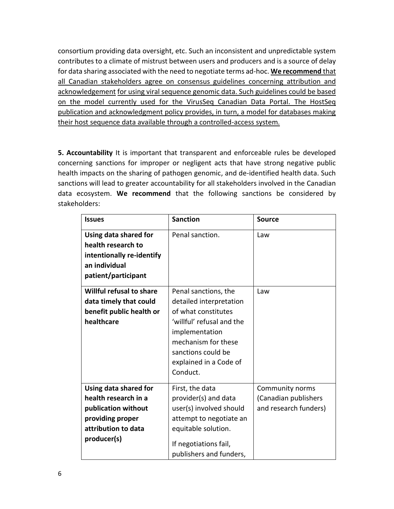consortium providing data oversight, etc. Such an inconsistent and unpredictable system contributes to a climate of mistrust between users and producers and is a source of delay for data sharing associated with the need to negotiate terms ad-hoc. **We recommend** that all Canadian stakeholders agree on consensus guidelines concerning attribution and acknowledgement for using viral sequence genomic data. Such guidelines could be based on the model currently used for the VirusSeq Canadian Data Portal. The HostSeq publication and acknowledgment policy provides, in turn, a model for databases making their host sequence data available through a controlled-access system*.* 

**5. Accountability** It is important that transparent and enforceable rules be developed concerning sanctions for improper or negligent acts that have strong negative public health impacts on the sharing of pathogen genomic, and de-identified health data. Such sanctions will lead to greater accountability for all stakeholders involved in the Canadian data ecosystem. **We recommend** that the following sanctions be considered by stakeholders:

| <b>Issues</b>                                                                                                                  | <b>Sanction</b>                                                                                                                                                                                          | <b>Source</b>                                                    |
|--------------------------------------------------------------------------------------------------------------------------------|----------------------------------------------------------------------------------------------------------------------------------------------------------------------------------------------------------|------------------------------------------------------------------|
| Using data shared for<br>health research to<br>intentionally re-identify<br>an individual<br>patient/participant               | Penal sanction.                                                                                                                                                                                          | Law                                                              |
| <b>Willful refusal to share</b><br>data timely that could<br>benefit public health or<br>healthcare                            | Penal sanctions, the<br>detailed interpretation<br>of what constitutes<br>'willful' refusal and the<br>implementation<br>mechanism for these<br>sanctions could be<br>explained in a Code of<br>Conduct. | Law                                                              |
| Using data shared for<br>health research in a<br>publication without<br>providing proper<br>attribution to data<br>producer(s) | First, the data<br>provider(s) and data<br>user(s) involved should<br>attempt to negotiate an<br>equitable solution.<br>If negotiations fail,<br>publishers and funders,                                 | Community norms<br>(Canadian publishers<br>and research funders) |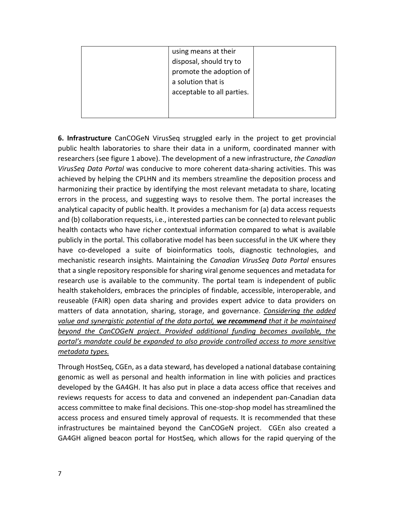|  | using means at their       |  |
|--|----------------------------|--|
|  | disposal, should try to    |  |
|  | promote the adoption of    |  |
|  | a solution that is         |  |
|  | acceptable to all parties. |  |
|  |                            |  |
|  |                            |  |

**6. Infrastructure** CanCOGeN VirusSeq struggled early in the project to get provincial public health laboratories to share their data in a uniform, coordinated manner with researchers (see figure 1 above). The development of a new infrastructure, *the Canadian VirusSeq Data Portal* was conducive to more coherent data-sharing activities. This was achieved by helping the CPLHN and its members streamline the deposition process and harmonizing their practice by identifying the most relevant metadata to share, locating errors in the process, and suggesting ways to resolve them. The portal increases the analytical capacity of public health. It provides a mechanism for (a) data access requests and (b) collaboration requests, i.e., interested parties can be connected to relevant public health contacts who have richer contextual information compared to what is available publicly in the portal. This collaborative model has been successful in the UK where they have co-developed a suite of bioinformatics tools, diagnostic technologies, and mechanistic research insights. Maintaining the *Canadian VirusSeq Data Portal* ensures that a single repository responsible for sharing viral genome sequences and metadata for research use is available to the community. The portal team is independent of public health stakeholders, embraces the principles of findable, accessible, interoperable, and reuseable (FAIR) open data sharing and provides expert advice to data providers on matters of data annotation, sharing, storage, and governance. *Considering the added value and synergistic potential of the data portal, we recommend that it be maintained beyond the CanCOGeN project. Provided additional funding becomes available, the portal's mandate could be expanded to also provide controlled access to more sensitive metadata types.*

Through HostSeq, CGEn, as a data steward, has developed a national database containing genomic as well as personal and health information in line with policies and practices developed by the GA4GH. It has also put in place a data access office that receives and reviews requests for access to data and convened an independent pan-Canadian data access committee to make final decisions. This one-stop-shop model has streamlined the access process and ensured timely approval of requests. It is recommended that these infrastructures be maintained beyond the CanCOGeN project. CGEn also created a GA4GH aligned beacon portal for HostSeq, which allows for the rapid querying of the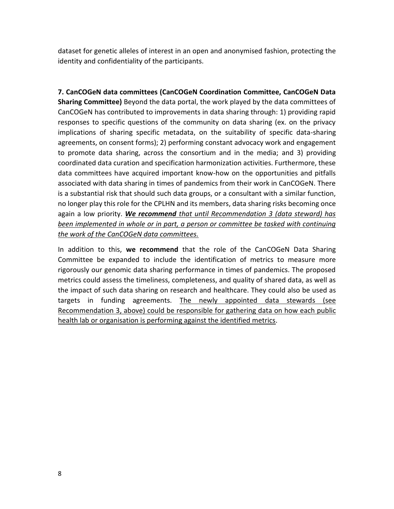dataset for genetic alleles of interest in an open and anonymised fashion, protecting the identity and confidentiality of the participants.

**7. CanCOGeN data committees (CanCOGeN Coordination Committee, CanCOGeN Data Sharing Committee)** Beyond the data portal, the work played by the data committees of CanCOGeN has contributed to improvements in data sharing through: 1) providing rapid responses to specific questions of the community on data sharing (ex. on the privacy implications of sharing specific metadata, on the suitability of specific data-sharing agreements, on consent forms); 2) performing constant advocacy work and engagement to promote data sharing, across the consortium and in the media; and 3) providing coordinated data curation and specification harmonization activities. Furthermore, these data committees have acquired important know-how on the opportunities and pitfalls associated with data sharing in times of pandemics from their work in CanCOGeN. There is a substantial risk that should such data groups, or a consultant with a similar function, no longer play this role for the CPLHN and its members, data sharing risks becoming once again a low priority. *We recommend that until Recommendation 3 (data steward) has been implemented in whole or in part, a person or committee be tasked with continuing the work of the CanCOGeN data committees.*

In addition to this, **we recommend** that the role of the CanCOGeN Data Sharing Committee be expanded to include the identification of metrics to measure more rigorously our genomic data sharing performance in times of pandemics. The proposed metrics could assess the timeliness, completeness, and quality of shared data, as well as the impact of such data sharing on research and healthcare. They could also be used as targets in funding agreements. The newly appointed data stewards (see Recommendation 3, above) could be responsible for gathering data on how each public health lab or organisation is performing against the identified metrics.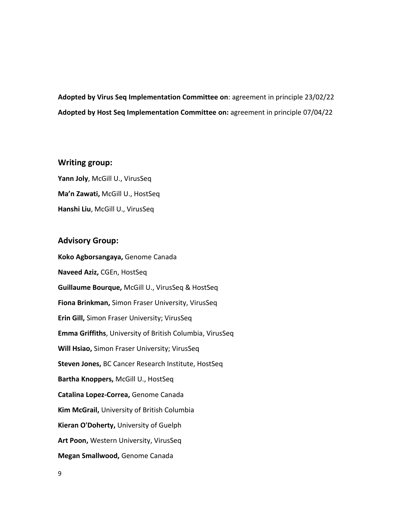**Adopted by Virus Seq Implementation Committee on**: agreement in principle 23/02/22 **Adopted by Host Seq Implementation Committee on:** agreement in principle 07/04/22

#### **Writing group:**

**Yann Joly**, McGill U., VirusSeq **Ma'n Zawati,** McGill U., HostSeq **Hanshi Liu**, McGill U., VirusSeq

### **Advisory Group:**

**Koko Agborsangaya,** Genome Canada **Naveed Aziz,** CGEn, HostSeq **Guillaume Bourque,** McGill U., VirusSeq & HostSeq **Fiona Brinkman,** Simon Fraser University, VirusSeq **Erin Gill,** Simon Fraser University; VirusSeq **Emma Griffiths**, University of British Columbia, VirusSeq **Will Hsiao,** Simon Fraser University; VirusSeq **Steven Jones,** BC Cancer Research Institute, HostSeq **Bartha Knoppers,** McGill U., HostSeq **Catalina Lopez-Correa,** Genome Canada **Kim McGrail,** University of British Columbia **Kieran O'Doherty,** University of Guelph **Art Poon,** Western University, VirusSeq **Megan Smallwood,** Genome Canada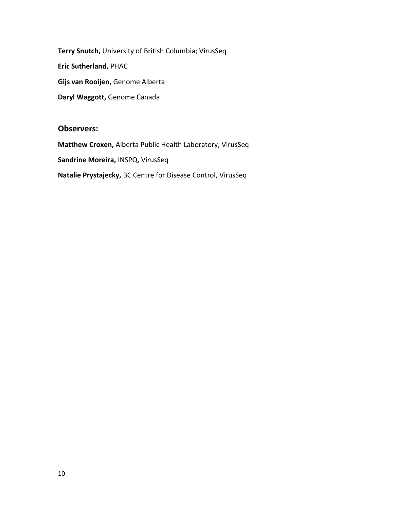**Terry Snutch,** University of British Columbia; VirusSeq **Eric Sutherland,** PHAC **Gijs van Rooijen,** Genome Alberta **Daryl Waggott,** Genome Canada

### **Observers:**

**Matthew Croxen,** Alberta Public Health Laboratory, VirusSeq **Sandrine Moreira,** INSPQ, VirusSeq **Natalie Prystajecky,** BC Centre for Disease Control, VirusSeq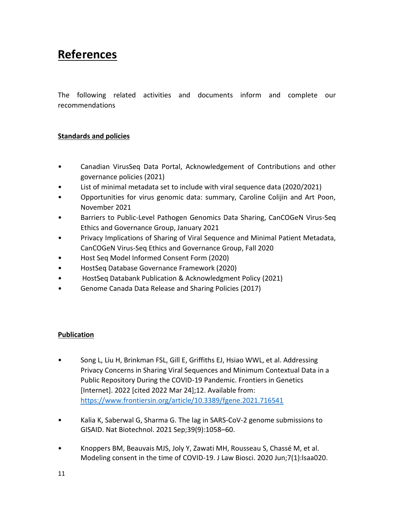## **References**

The following related activities and documents inform and complete our recommendations

### **Standards and policies**

- Canadian VirusSeq Data Portal, Acknowledgement of Contributions and other governance policies (2021)
- List of minimal metadata set to include with viral sequence data (2020/2021)
- Opportunities for virus genomic data: summary, Caroline Colijin and Art Poon, November 2021
- Barriers to Public-Level Pathogen Genomics Data Sharing, CanCOGeN Virus-Seq Ethics and Governance Group, January 2021
- Privacy Implications of Sharing of Viral Sequence and Minimal Patient Metadata, CanCOGeN Virus-Seq Ethics and Governance Group, Fall 2020
- Host Seq Model Informed Consent Form (2020)
- HostSeq Database Governance Framework (2020)
- HostSeq [Databank Publication & Acknowledgment Policy](https://www.cgen.ca/wp-content/uploads/2021/02/HostSeq-Publication-Policy-v5.pdf) (2021)
- Genome Canada Data Release and Sharing Policies (2017)

### **Publication**

- Song L, Liu H, Brinkman FSL, Gill E, Griffiths EJ, Hsiao WWL, et al. Addressing Privacy Concerns in Sharing Viral Sequences and Minimum Contextual Data in a Public Repository During the COVID-19 Pandemic. Frontiers in Genetics [Internet]. 2022 [cited 2022 Mar 24];12. Available from: <https://www.frontiersin.org/article/10.3389/fgene.2021.716541>
- Kalia K, Saberwal G, Sharma G. The lag in SARS-CoV-2 genome submissions to GISAID. Nat Biotechnol. 2021 Sep;39(9):1058–60.
- Knoppers BM, Beauvais MJS, Joly Y, Zawati MH, Rousseau S, Chassé M, et al. Modeling consent in the time of COVID-19. J Law Biosci. 2020 Jun;7(1):lsaa020.